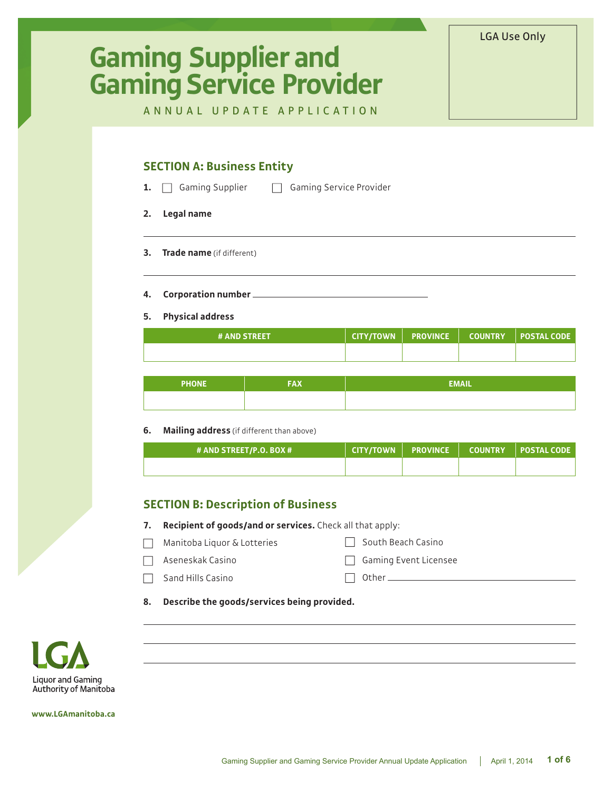# **Gaming Supplier and Gaming Service Provider**

LGA Use Only

ANNUAL UPDATE APPLICATION

## **SECTION A: Business Entity**

**1.** Gaming Supplier **Gaming Service Provider** 

- **2. Legal name**
- **3. Trade name** (if different)
- **4. Corporation number**

#### **5. Physical address**

| <b># AND STREET</b> |  |  |
|---------------------|--|--|
|                     |  |  |

| <b>PHONE</b> | <b>FAX</b> | <b>EMAIL</b> |
|--------------|------------|--------------|
|              |            |              |

#### **6. Mailing address** (if different than above)

| # AND STREET/P.O. BOX # |  | CITY/TOWN   PROVINCE   COUNTRY   POSTAL CODE |
|-------------------------|--|----------------------------------------------|
|                         |  |                                              |

## **SECTION B: Description of Business**

- **7. Recipient of goods/and or services.** Check all that apply:
- Manitoba Liquor & Lotteries  $\Box$
- $\Box$  South Beach Casino
- Aseneskak Casino
- Gaming Event Licensee  $\Box$  Other  $\Box$
- $\Box$  Sand Hills Casino
- **8. Describe the goods/services being provided.**



**www.LGAmanitoba.ca**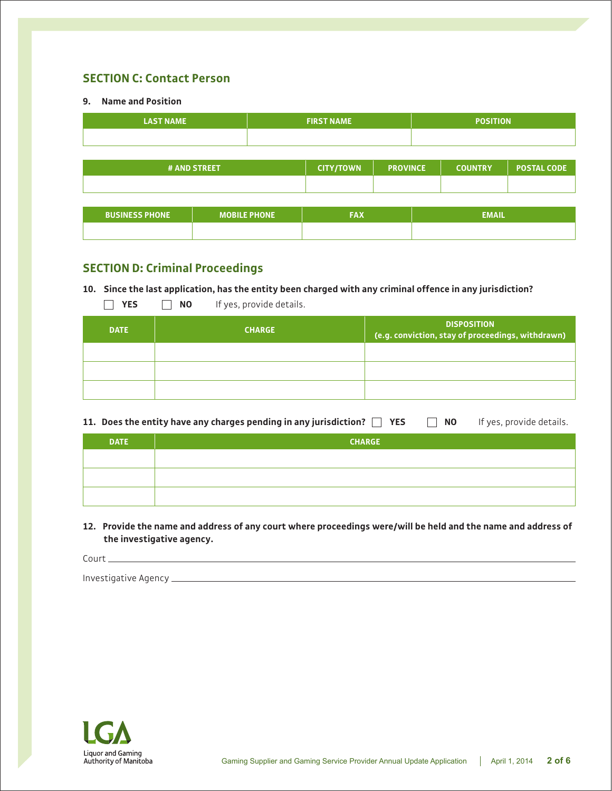# **SECTION C: Contact Person**

#### **9. Name and Position**

| <b>LAST NAME</b>                                                                            |                     | <b>FIRST NAME</b> |  | <b>POSITION</b> |              |  |
|---------------------------------------------------------------------------------------------|---------------------|-------------------|--|-----------------|--------------|--|
|                                                                                             |                     |                   |  |                 |              |  |
| <b>POSTAL CODE</b><br># AND STREET<br><b>CITY/TOWN</b><br><b>PROVINCE</b><br><b>COUNTRY</b> |                     |                   |  |                 |              |  |
|                                                                                             |                     |                   |  |                 |              |  |
|                                                                                             |                     |                   |  |                 |              |  |
| <b>BUSINESS PHONE</b>                                                                       | <b>MOBILE PHONE</b> | <b>FAX</b>        |  |                 | <b>EMAIL</b> |  |
|                                                                                             |                     |                   |  |                 |              |  |

# **SECTION D: Criminal Proceedings**

**YES NO** If yes, provide details.

#### **10. Since the last application, has the entity been charged with any criminal offence in any jurisdiction?**

| <b>DATE</b> | <b>CHARGE</b> | <b>DISPOSITION</b><br>(e.g. conviction, stay of proceedings, withdrawn) |
|-------------|---------------|-------------------------------------------------------------------------|
|             |               |                                                                         |
|             |               |                                                                         |
|             |               |                                                                         |

|             | 11. Does the entity have any charges pending in any jurisdiction? $\Box$ YES | <b>NO</b> | If yes, provide details. |
|-------------|------------------------------------------------------------------------------|-----------|--------------------------|
| <b>DATE</b> | <b>CHARGE</b>                                                                |           |                          |
|             |                                                                              |           |                          |
|             |                                                                              |           |                          |

**12. Provide the name and address of any court where proceedings were/will be held and the name and address of the investigative agency.**

Court

Investigative Agency

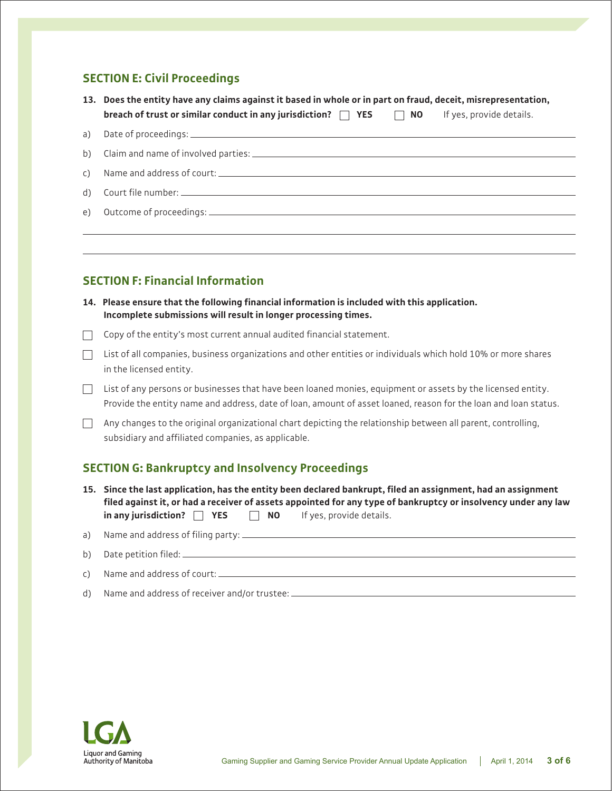## **SECTION E: Civil Proceedings**

| 13. Does the entity have any claims against it based in whole or in part on fraud, deceit, misrepresentation, |  |           |                          |
|---------------------------------------------------------------------------------------------------------------|--|-----------|--------------------------|
| breach of trust or similar conduct in any jurisdiction? $\Box$ YES                                            |  | $\Box$ NO | If yes, provide details. |

## **SECTION F: Financial Information**

**14. Please ensure that the following financial information is included with this application. Incomplete submissions will result in longer processing times.**

 $\Box$  Copy of the entity's most current annual audited financial statement.

List of all companies, business organizations and other entities or individuals which hold 10% or more shares in the licensed entity.

 $\Box$  List of any persons or businesses that have been loaned monies, equipment or assets by the licensed entity. Provide the entity name and address, date of loan, amount of asset loaned, reason for the loan and loan status.

 $\Box$  Any changes to the original organizational chart depicting the relationship between all parent, controlling, subsidiary and affiliated companies, as applicable.

## **SECTION G: Bankruptcy and Insolvency Proceedings**

- **15. Since the last application, has the entity been declared bankrupt, filed an assignment, had an assignment filed against it, or had a receiver of assets appointed for any type of bankruptcy or insolvency under any law in any jurisdiction? YES NO** If yes, provide details.
- a) Name and address of filing party: \_\_\_\_\_\_\_\_\_\_\_
- b) Date petition filed:  $\equiv$
- c) Name and address of court:
- d) Name and address of receiver and/or trustee:

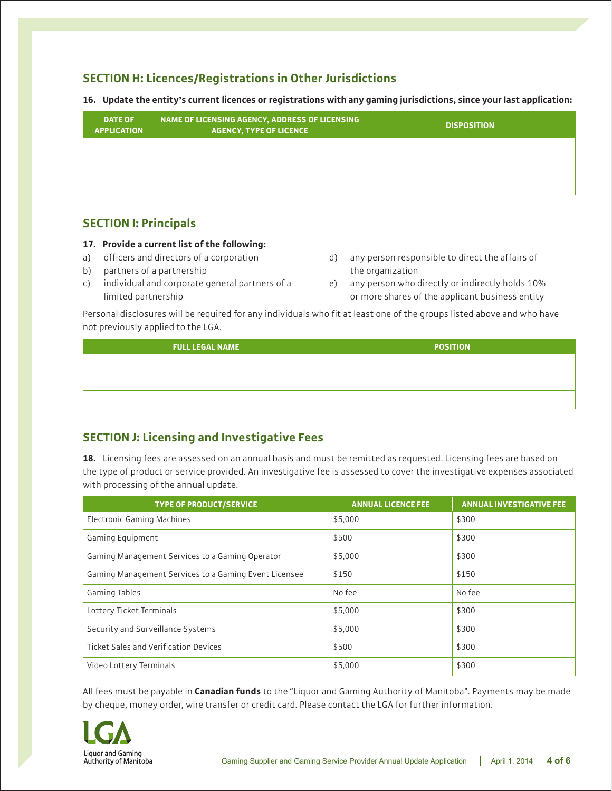# **SECTION H: Licences/Registrations in Other Jurisdictions**

| <b>DATE OF</b><br><b>APPLICATION</b> | NAME OF LICENSING AGENCY, ADDRESS OF LICENSING<br><b>AGENCY, TYPE OF LICENCE</b> | <b>DISPOSITION</b> |
|--------------------------------------|----------------------------------------------------------------------------------|--------------------|
|                                      |                                                                                  |                    |
|                                      |                                                                                  |                    |
|                                      |                                                                                  |                    |

**16. Update the entity's current licences or registrations with any gaming jurisdictions, since your last application:**

#### **SECTION I: Principals**

#### **17. Provide a current list of the following:**

- a) officers and directors of a corporation
- b) partners of a partnership
- c) individual and corporate general partners of a limited partnership
- d) any person responsible to direct the affairs of the organization
- e) any person who directly or indirectly holds 10% or more shares of the applicant business entity

Personal disclosures will be required for any individuals who fit at least one of the groups listed above and who have not previously applied to the LGA.

| <b>FULL LEGAL NAME</b> | <b>POSITION</b> |
|------------------------|-----------------|
|                        |                 |
|                        |                 |
|                        |                 |

## **SECTION J: Licensing and Investigative Fees**

**18.** Licensing fees are assessed on an annual basis and must be remitted as requested. Licensing fees are based on the type of product or service provided. An investigative fee is assessed to cover the investigative expenses associated with processing of the annual update.

| <b>TYPE OF PRODUCT/SERVICE</b>                        | <b>ANNUAL LICENCE FEE</b> | <b>ANNUAL INVESTIGATIVE FEE</b> |
|-------------------------------------------------------|---------------------------|---------------------------------|
| <b>Electronic Gaming Machines</b>                     | \$5,000                   | \$300                           |
| Gaming Equipment                                      | \$500                     | \$300                           |
| Gaming Management Services to a Gaming Operator       | \$5,000                   | \$300                           |
| Gaming Management Services to a Gaming Event Licensee | \$150                     | \$150                           |
| <b>Gaming Tables</b>                                  | No fee                    | No fee                          |
| Lottery Ticket Terminals                              | \$5,000                   | \$300                           |
| Security and Surveillance Systems                     | \$5,000                   | \$300                           |
| <b>Ticket Sales and Verification Devices</b>          | \$500                     | \$300                           |
| Video Lottery Terminals                               | \$5,000                   | \$300                           |

All fees must be payable in **Canadian funds** to the "Liquor and Gaming Authority of Manitoba". Payments may be made by cheque, money order, wire transfer or credit card. Please contact the LGA for further information.

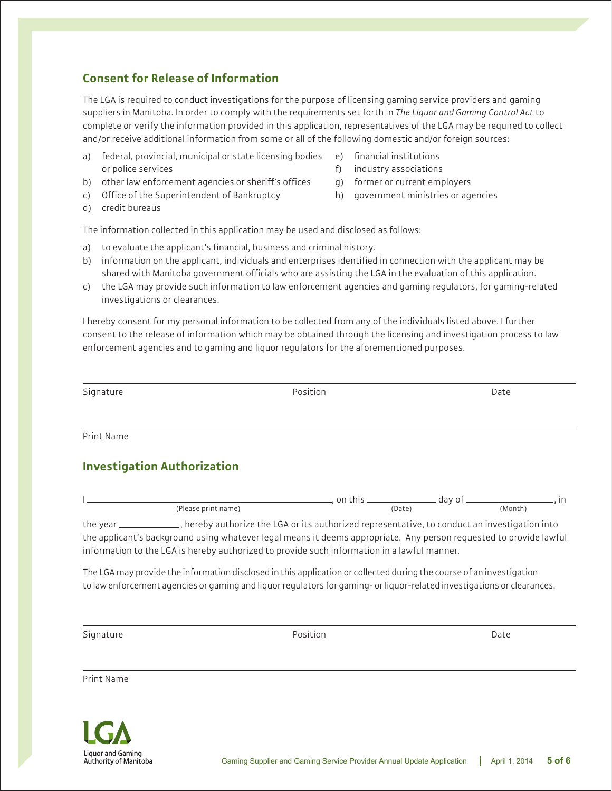# **Consent for Release of Information**

The LGA is required to conduct investigations for the purpose of licensing gaming service providers and gaming suppliers in Manitoba. In order to comply with the requirements set forth in *The Liquor and Gaming Control Act* to complete or verify the information provided in this application, representatives of the LGA may be required to collect and/or receive additional information from some or all of the following domestic and/or foreign sources:

- a) federal, provincial, municipal or state licensing bodies or police services
- b) other law enforcement agencies or sheriff's offices
- c) Office of the Superintendent of Bankruptcy
- d) credit bureaus
- e) financial institutions
- f) industry associations
- g) former or current employers
- h) government ministries or agencies

The information collected in this application may be used and disclosed as follows:

- a) to evaluate the applicant's financial, business and criminal history.
- b) information on the applicant, individuals and enterprises identified in connection with the applicant may be shared with Manitoba government officials who are assisting the LGA in the evaluation of this application.
- c) the LGA may provide such information to law enforcement agencies and gaming regulators, for gaming-related investigations or clearances.

I hereby consent for my personal information to be collected from any of the individuals listed above. I further consent to the release of information which may be obtained through the licensing and investigation process to law enforcement agencies and to gaming and liquor regulators for the aforementioned purposes.

| Signature | Position | Date |
|-----------|----------|------|
|           |          |      |
|           |          |      |

Print Name

# **Investigation Authorization**

|                     |                                                                                               | on this | day of |         |
|---------------------|-----------------------------------------------------------------------------------------------|---------|--------|---------|
| (Please print name) |                                                                                               | (Date)  |        | (Month) |
| the vear            | , hereby authorize the LGA or its authorized representative, to conduct an investigation into |         |        |         |

the applicant's background using whatever legal means it deems appropriate. Any person requested to provide lawful information to the LGA is hereby authorized to provide such information in a lawful manner.

The LGA may provide the information disclosed in this application or collected during the course of an investigation to law enforcement agencies or gaming and liquor regulators for gaming- or liquor-related investigations or clearances.

Signature Date Date of the Position Date of the Date of the Date of the Date of the Date of the Date of the Date of the Date of the Date of the Date of the Date of the Date of the Date of the Date of the Date of the Date o

Print Name